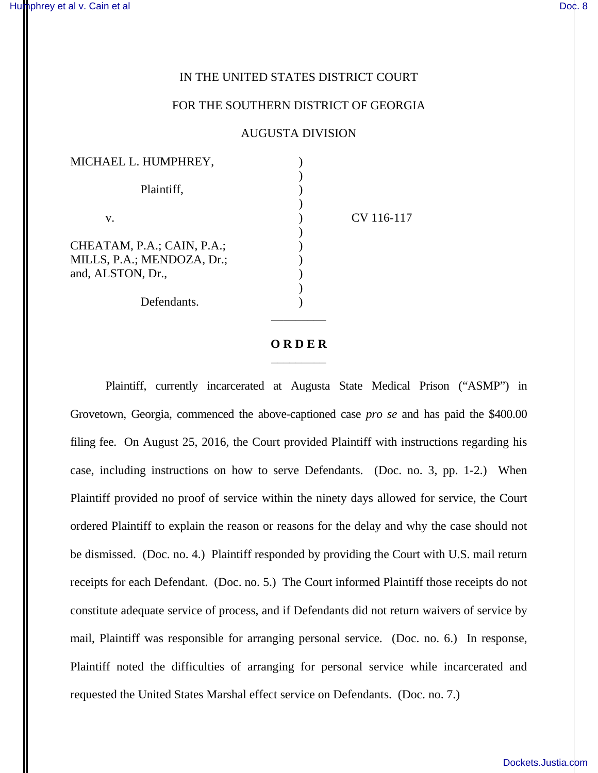## IN THE UNITED STATES DISTRICT COURT

## FOR THE SOUTHERN DISTRICT OF GEORGIA

## AUGUSTA DIVISION

| MICHAEL L. HUMPHREY,                                                          |            |  |
|-------------------------------------------------------------------------------|------------|--|
| Plaintiff,                                                                    |            |  |
| V.                                                                            | CV 116-117 |  |
| CHEATAM, P.A.; CAIN, P.A.;<br>MILLS, P.A.; MENDOZA, Dr.;<br>and, ALSTON, Dr., |            |  |
| Defendants.                                                                   |            |  |

## **O R D E R**  $\overline{\phantom{a}}$  , where  $\overline{\phantom{a}}$

\_\_\_\_\_\_\_\_\_

Plaintiff, currently incarcerated at Augusta State Medical Prison ("ASMP") in Grovetown, Georgia, commenced the above-captioned case *pro se* and has paid the \$400.00 filing fee. On August 25, 2016, the Court provided Plaintiff with instructions regarding his case, including instructions on how to serve Defendants. (Doc. no. 3, pp. 1-2.) When Plaintiff provided no proof of service within the ninety days allowed for service, the Court ordered Plaintiff to explain the reason or reasons for the delay and why the case should not be dismissed. (Doc. no. 4.) Plaintiff responded by providing the Court with U.S. mail return receipts for each Defendant. (Doc. no. 5.) The Court informed Plaintiff those receipts do not constitute adequate service of process, and if Defendants did not return waivers of service by mail, Plaintiff was responsible for arranging personal service. (Doc. no. 6.) In response, Plaintiff noted the difficulties of arranging for personal service while incarcerated and requested the United States Marshal effect service on Defendants. (Doc. no. 7.)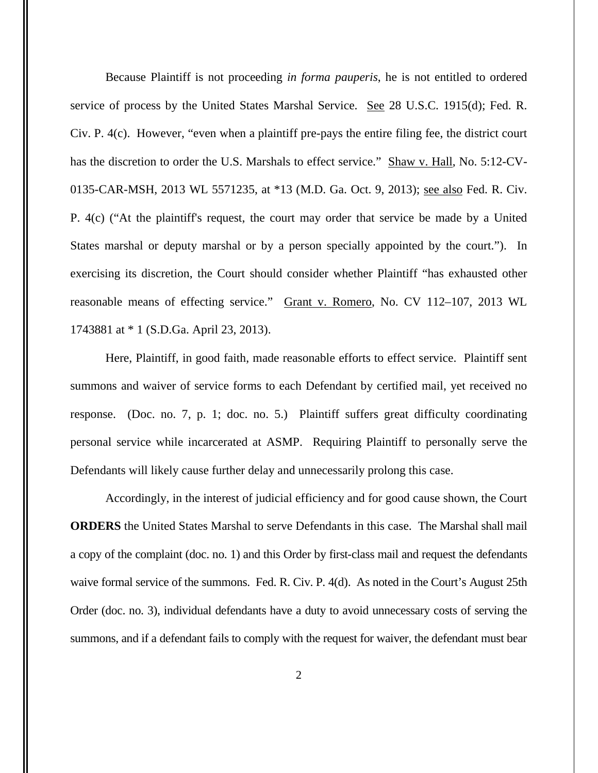Because Plaintiff is not proceeding *in forma pauperis*, he is not entitled to ordered service of process by the United States Marshal Service. See 28 U.S.C. 1915(d); Fed. R. Civ. P. 4(c). However, "even when a plaintiff pre-pays the entire filing fee, the district court has the discretion to order the U.S. Marshals to effect service." Shaw v. Hall, No. 5:12-CV-0135-CAR-MSH, 2013 WL 5571235, at \*13 (M.D. Ga. Oct. 9, 2013); see also Fed. R. Civ. P. 4(c) ("At the plaintiff's request, the court may order that service be made by a United States marshal or deputy marshal or by a person specially appointed by the court."). In exercising its discretion, the Court should consider whether Plaintiff "has exhausted other reasonable means of effecting service." Grant v. Romero, No. CV 112–107, 2013 WL 1743881 at \* 1 (S.D.Ga. April 23, 2013).

Here, Plaintiff, in good faith, made reasonable efforts to effect service. Plaintiff sent summons and waiver of service forms to each Defendant by certified mail, yet received no response. (Doc. no. 7, p. 1; doc. no. 5.) Plaintiff suffers great difficulty coordinating personal service while incarcerated at ASMP. Requiring Plaintiff to personally serve the Defendants will likely cause further delay and unnecessarily prolong this case.

Accordingly, in the interest of judicial efficiency and for good cause shown, the Court **ORDERS** the United States Marshal to serve Defendants in this case. The Marshal shall mail a copy of the complaint (doc. no. 1) and this Order by first-class mail and request the defendants waive formal service of the summons. Fed. R. Civ. P. 4(d). As noted in the Court's August 25th Order (doc. no. 3), individual defendants have a duty to avoid unnecessary costs of serving the summons, and if a defendant fails to comply with the request for waiver, the defendant must bear